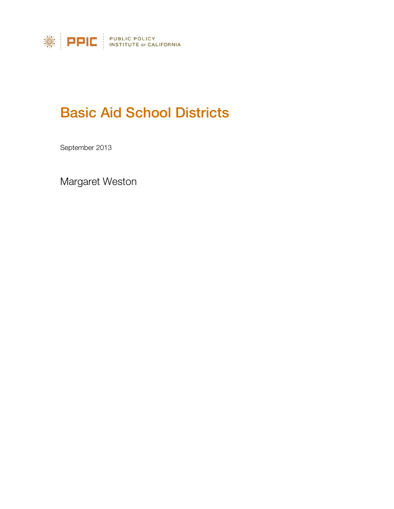

# Basic Aid School Districts

September 2013

Margaret Weston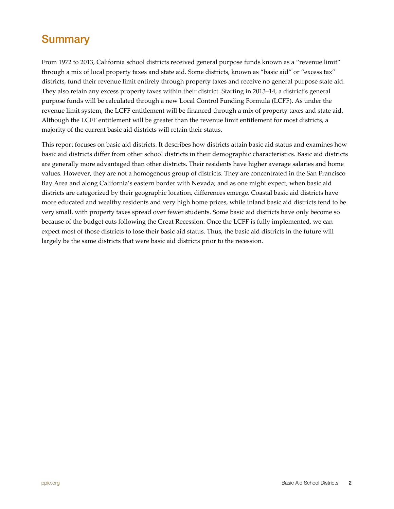## <span id="page-1-0"></span>**Summary**

From 1972 to 2013, California school districts received general purpose funds known as a "revenue limit" through a mix of local property taxes and state aid. Some districts, known as "basic aid" or "excess tax" districts, fund their revenue limit entirely through property taxes and receive no general purpose state aid. They also retain any excess property taxes within their district. Starting in 2013–14, a district's general purpose funds will be calculated through a new Local Control Funding Formula (LCFF). As under the revenue limit system, the LCFF entitlement will be financed through a mix of property taxes and state aid. Although the LCFF entitlement will be greater than the revenue limit entitlement for most districts, a majority of the current basic aid districts will retain their status.

This report focuses on basic aid districts. It describes how districts attain basic aid status and examines how basic aid districts differ from other school districts in their demographic characteristics. Basic aid districts are generally more advantaged than other districts. Their residents have higher average salaries and home values. However, they are not a homogenous group of districts. They are concentrated in the San Francisco Bay Area and along California's eastern border with Nevada; and as one might expect, when basic aid districts are categorized by their geographic location, differences emerge. Coastal basic aid districts have more educated and wealthy residents and very high home prices, while inland basic aid districts tend to be very small, with property taxes spread over fewer students. Some basic aid districts have only become so because of the budget cuts following the Great Recession. Once the LCFF is fully implemented, we can expect most of those districts to lose their basic aid status. Thus, the basic aid districts in the future will largely be the same districts that were basic aid districts prior to the recession.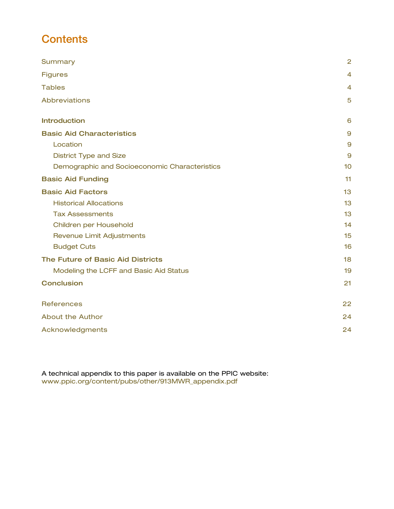## **Contents**

| Summary                                       | $\overline{2}$ |
|-----------------------------------------------|----------------|
| <b>Figures</b>                                | $\overline{4}$ |
| <b>Tables</b>                                 | $\overline{4}$ |
| Abbreviations                                 | 5              |
| <b>Introduction</b>                           | 6              |
| <b>Basic Aid Characteristics</b>              | 9              |
| Location                                      | $\mathbf{9}$   |
| <b>District Type and Size</b>                 | 9              |
| Demographic and Socioeconomic Characteristics | 10             |
| <b>Basic Aid Funding</b>                      | 11             |
| <b>Basic Aid Factors</b>                      | 13             |
| <b>Historical Allocations</b>                 | 13             |
| <b>Tax Assessments</b>                        | 13             |
| Children per Household                        | 14             |
| <b>Revenue Limit Adjustments</b>              | 15             |
| <b>Budget Cuts</b>                            | 16             |
| The Future of Basic Aid Districts             | 18             |
| Modeling the LCFF and Basic Aid Status        | 19             |
| <b>Conclusion</b>                             | 21             |
| <b>References</b>                             | 22             |
| <b>About the Author</b>                       | 24             |
| Acknowledgments                               | 24             |

A technical appendix to this paper is available on the PPIC website: www.ppic.or[g/content/pubs/other/913MWR\\_appendix.pdf](http://www.ppic.org/content/pubs/other/913MWR_appendix.pdf)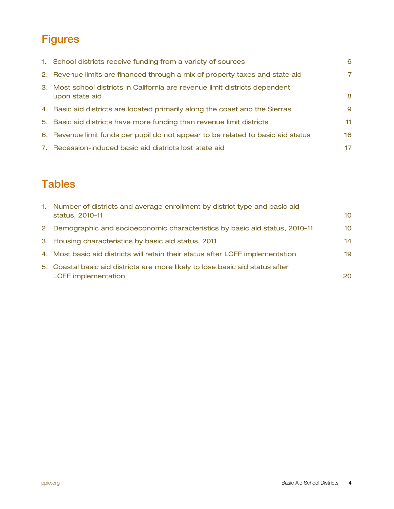## <span id="page-3-0"></span>**Figures**

| 1. School districts receive funding from a variety of sources                                  | 6   |
|------------------------------------------------------------------------------------------------|-----|
| 2. Revenue limits are financed through a mix of property taxes and state aid                   | 7.  |
| 3. Most school districts in California are revenue limit districts dependent<br>upon state aid | 8   |
| 4. Basic aid districts are located primarily along the coast and the Sierras                   | 9   |
| 5. Basic aid districts have more funding than revenue limit districts                          | 11. |
| 6. Revenue limit funds per pupil do not appear to be related to basic aid status               | 16  |
| 7. Recession-induced basic aid districts lost state aid                                        | 17  |

## <span id="page-3-1"></span>**Tables**

| 1. Number of districts and average enrollment by district type and basic aid   |     |
|--------------------------------------------------------------------------------|-----|
| status, 2010-11                                                                | 10  |
| 2. Demographic and socioeconomic characteristics by basic aid status, 2010–11  | 10  |
| 3. Housing characteristics by basic aid status, 2011                           | 14  |
| 4. Most basic aid districts will retain their status after LCFF implementation | 19  |
| 5. Coastal basic aid districts are more likely to lose basic aid status after  |     |
| <b>LCFF</b> implementation                                                     | 20. |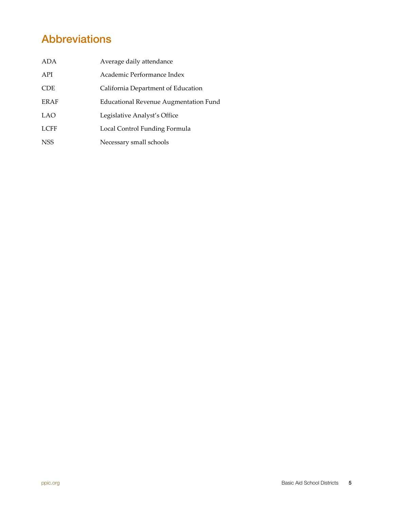## <span id="page-4-0"></span>Abbreviations

| ADA         | Average daily attendance                     |
|-------------|----------------------------------------------|
| API         | Academic Performance Index                   |
| <b>CDE</b>  | California Department of Education           |
| <b>ERAF</b> | <b>Educational Revenue Augmentation Fund</b> |
| <b>LAO</b>  | Legislative Analyst's Office                 |
| <b>LCFF</b> | Local Control Funding Formula                |
| <b>NSS</b>  | Necessary small schools                      |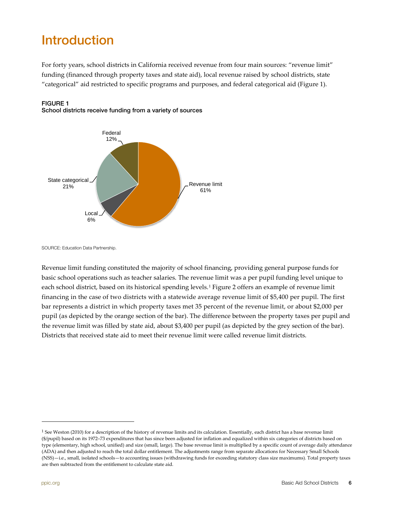# <span id="page-5-0"></span>Introduction

For forty years, school districts in California received revenue from four main sources: "revenue limit" funding (financed through property taxes and state aid), local revenue raised by school districts, state "categorical" aid restricted to specific programs and purposes, and federal categorical aid (Figure 1).



<span id="page-5-1"></span>FIGURE 1 School districts receive funding from a variety of sources

SOURCE: Education Data Partnership.

Revenue limit funding constituted the majority of school financing, providing general purpose funds for basic school operations such as teacher salaries. The revenue limit was a per pupil funding level unique to each school district, based on its historical spending levels.[1](#page-5-2) Figure 2 offers an example of revenue limit financing in the case of two districts with a statewide average revenue limit of \$5,400 per pupil. The first bar represents a district in which property taxes met 35 percent of the revenue limit, or about \$2,000 per pupil (as depicted by the orange section of the bar). The difference between the property taxes per pupil and the revenue limit was filled by state aid, about \$3,400 per pupil (as depicted by the grey section of the bar). Districts that received state aid to meet their revenue limit were called revenue limit districts.

<span id="page-5-2"></span><sup>&</sup>lt;sup>1</sup> Se[e Weston \(2010\) f](http://www.ppic.org/main/publication.asp?i=921)or a description of the history of revenue limits and its calculation. Essentially, each district has a base revenue limit (\$/pupil) based on its 1972–73 expenditures that has since been adjusted for inflation and equalized within six categories of districts based on type (elementary, high school, unified) and size (small, large). The base revenue limit is multiplied by a specific count of average daily attendance (ADA) and then adjusted to reach the total dollar entitlement. The adjustments range from separate allocations for Necessary Small Schools (NSS)—i.e., small, isolated schools—to accounting issues (withdrawing funds for exceeding statutory class size maximums). Total property taxes are then subtracted from the entitlement to calculate state aid.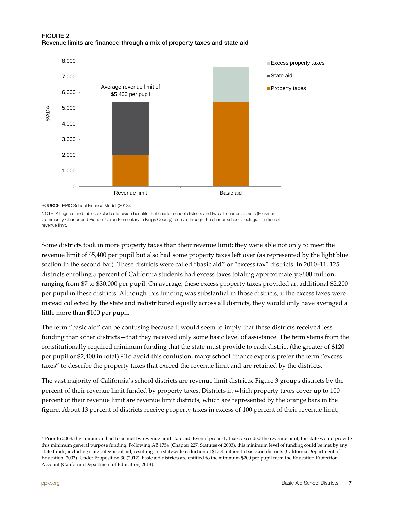

#### <span id="page-6-0"></span>FIGURE 2 Revenue limits are financed through a mix of property taxes and state aid

SOURCE[: PPIC School Finance Model \(2013\).](http://www.ppic.org/main/dataSet.asp?i=1229)

NOTE: All figures and tables exclude statewide benefits that charter school districts and two all-charter districts (Hickman Community Charter and Pioneer Union Elementary in Kings County) receive through the charter school block grant in lieu of revenue limit.

Some districts took in more property taxes than their revenue limit; they were able not only to meet the revenue limit of \$5,400 per pupil but also had some property taxes left over (as represented by the light blue section in the second bar). These districts were called "basic aid" or "excess tax" districts. In 2010–11, 125 districts enrolling 5 percent of California students had excess taxes totaling approximately \$600 million, ranging from \$7 to \$30,000 per pupil. On average, these excess property taxes provided an additional \$2,200 per pupil in these districts. Although this funding was substantial in those districts, if the excess taxes were instead collected by the state and redistributed equally across all districts, they would only have averaged a little more than \$100 per pupil.

The term "basic aid" can be confusing because it would seem to imply that these districts received less funding than other districts—that they received only some basic level of assistance. The term stems from the constitutionally required minimum funding that the state must provide to each district (the greater of \$120 per pupil or \$2,400 in total).[2](#page-6-1) To avoid this confusion, many school finance experts prefer the term "excess taxes" to describe the property taxes that exceed the revenue limit and are retained by the districts.

The vast majority of California's school districts are revenue limit districts. Figure 3 groups districts by the percent of their revenue limit funded by property taxes. Districts in which property taxes cover up to 100 percent of their revenue limit are revenue limit districts, which are represented by the orange bars in the figure. About 13 percent of districts receive property taxes in excess of 100 percent of their revenue limit;

<span id="page-6-1"></span><sup>&</sup>lt;sup>2</sup> Prior to 2003, this minimum had to be met by revenue limit state aid. Even if property taxes exceeded the revenue limit, the state would provide this minimum general purpose funding. Following AB 1754 (Chapter 227, Statutes of 2003), this minimum level of funding could be met by any state funds, including state categorical aid, resulting in a statewide reduction of \$17.8 million to basic aid districts (California Department of Education, 2003). Under Proposition 30 (2012), basic aid districts are entitled to the minimum \$200 per pupil from the Education Protection Account (California Department of Education, 2013).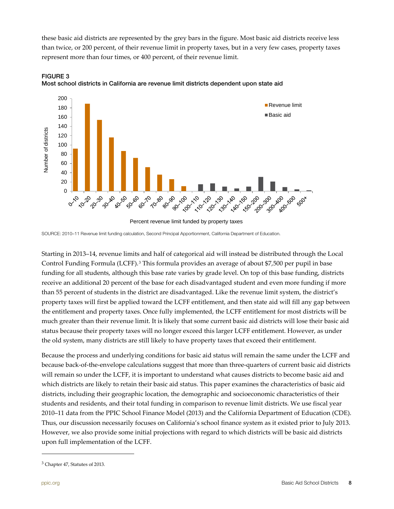these basic aid districts are represented by the grey bars in the figure. Most basic aid districts receive less than twice, or 200 percent, of their revenue limit in property taxes, but in a very few cases, property taxes represent more than four times, or 400 percent, of their revenue limit.



<span id="page-7-0"></span>

Percent revenue limit funded by property taxes

SOURCE: 2010–11 Revenue limit funding calculation, Second Principal Apportionment, California Department of Education.

Starting in 2013–14, revenue limits and half of categorical aid will instead be distributed through the Local Control Funding Formula (LCFF).[3](#page-7-1) This formula provides an average of about \$7,500 per pupil in base funding for all students, although this base rate varies by grade level. On top of this base funding, districts receive an additional 20 percent of the base for each disadvantaged student and even more funding if more than 55 percent of students in the district are disadvantaged. Like the revenue limit system, the district's property taxes will first be applied toward the LCFF entitlement, and then state aid will fill any gap between the entitlement and property taxes. Once fully implemented, the LCFF entitlement for most districts will be much greater than their revenue limit. It is likely that some current basic aid districts will lose their basic aid status because their property taxes will no longer exceed this larger LCFF entitlement. However, as under the old system, many districts are still likely to have property taxes that exceed their entitlement.

Because the process and underlying conditions for basic aid status will remain the same under the LCFF and because back-of-the-envelope calculations suggest that more than three-quarters of current basic aid districts will remain so under the LCFF, it is important to understand what causes districts to become basic aid and which districts are likely to retain their basic aid status. This paper examines the characteristics of basic aid districts, including their geographic location, the demographic and socioeconomic characteristics of their students and residents, and their total funding in comparison to revenue limit districts. We use fiscal year 2010–11 data from th[e PPIC School Finance Model \(2013\) a](http://www.ppic.org/main/dataSet.asp?i=1229)nd the California Department of Education (CDE). Thus, our discussion necessarily focuses on California's school finance system as it existed prior to July 2013. However, we also provide some initial projections with regard to which districts will be basic aid districts upon full implementation of the LCFF.

<span id="page-7-1"></span><sup>3</sup> Chapter 47, Statutes of 2013.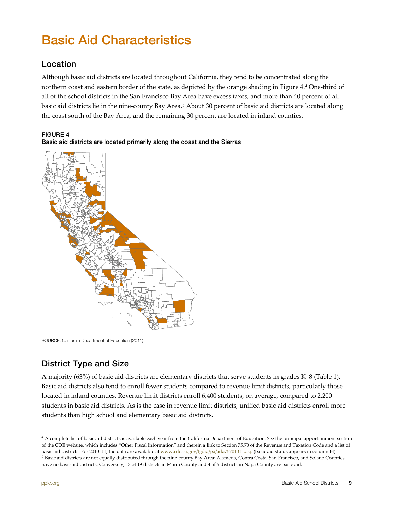# <span id="page-8-0"></span>Basic Aid Characteristics

### <span id="page-8-1"></span>Location

Although basic aid districts are located throughout California, they tend to be concentrated along the northern coast and eastern border of the state, as depicted by the orange shading in Figure 4.[4](#page-8-4) One-third of all of the school districts in the San Francisco Bay Area have excess taxes, and more than 40 percent of all basic aid districts lie in the nine-county Bay Area.<sup>[5](#page-8-5)</sup> About 30 percent of basic aid districts are located along the coast south of the Bay Area, and the remaining 30 percent are located in inland counties.

#### <span id="page-8-3"></span>FIGURE 4



Basic aid districts are located primarily along the coast and the Sierras

SOURCE: California Department of Education (2011).

### <span id="page-8-2"></span>District Type and Size

A majority (63%) of basic aid districts are elementary districts that serve students in grades K–8 (Table 1). Basic aid districts also tend to enroll fewer students compared to revenue limit districts, particularly those located in inland counties. Revenue limit districts enroll 6,400 students, on average, compared to 2,200 students in basic aid districts. As is the case in revenue limit districts, unified basic aid districts enroll more students than high school and elementary basic aid districts.

<span id="page-8-4"></span><sup>4</sup> A complete list of basic aid districts is available each year from the California Department of Education. See the principal apportionment section of the CDE website, which includes "Other Fiscal Information" and therein a link to Section 75.70 of the Revenue and Taxation Code and a list of basic aid districts. For 2010–11, the data are available a[t www.cde.ca.gov/fg/aa/pa/ada75701011.asp](http://www.cde.ca.gov/fg/aa/pa/ada75701011.asp) (basic aid status appears in column H). <sup>5</sup> Basic aid districts are not equally distributed through the nine-county Bay Area: Alameda, Contra Costa, San Francisco, and Solano Counties

<span id="page-8-5"></span>have no basic aid districts. Conversely, 13 of 19 districts in Marin County and 4 of 5 districts in Napa County are basic aid.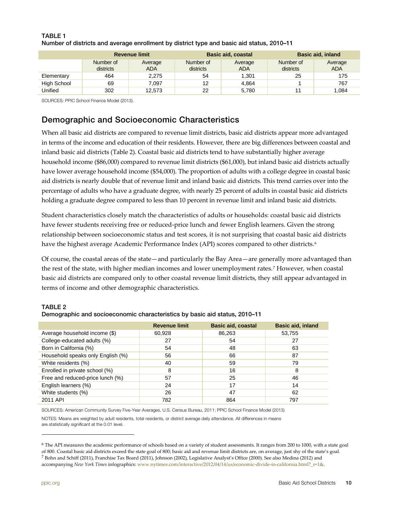|             |                        | <b>Revenue limit</b>  |                        | <b>Basic aid, coastal</b> |                        | <b>Basic aid, inland</b> |
|-------------|------------------------|-----------------------|------------------------|---------------------------|------------------------|--------------------------|
|             | Number of<br>districts | Average<br><b>ADA</b> | Number of<br>districts | Average<br><b>ADA</b>     | Number of<br>districts | Average<br><b>ADA</b>    |
| Elementary  | 464                    | 2.275                 | 54                     | 1.301                     | 25                     | 175                      |
| High School | 69                     | 7.097                 | 12                     | 4.864                     |                        | 767                      |
| Unified     | 302                    | 12.573                | 22                     | 5.780                     | 11                     | 1.084                    |

#### <span id="page-9-1"></span>TABLE 1 Number of districts and average enrollment by district type and basic aid status, 2010–11

SOURCES[: PPIC School Finance Model \(2013\)](http://www.ppic.org/main/dataSet.asp?i=1229).

### <span id="page-9-0"></span>Demographic and Socioeconomic Characteristics

When all basic aid districts are compared to revenue limit districts, basic aid districts appear more advantaged in terms of the income and education of their residents. However, there are big differences between coastal and inland basic aid districts (Table 2). Coastal basic aid districts tend to have substantially higher average household income (\$86,000) compared to revenue limit districts (\$61,000), but inland basic aid districts actually have lower average household income (\$54,000). The proportion of adults with a college degree in coastal basic aid districts is nearly double that of revenue limit and inland basic aid districts. This trend carries over into the percentage of adults who have a graduate degree, with nearly 25 percent of adults in coastal basic aid districts holding a graduate degree compared to less than 10 percent in revenue limit and inland basic aid districts.

Student characteristics closely match the characteristics of adults or households: coastal basic aid districts have fewer students receiving free or reduced-price lunch and fewer English learners. Given the strong relationship between socioeconomic status and test scores, it is not surprising that coastal basic aid districts have the highest average Academic Performance Index (API) scores compared to other districts.<sup>[6](#page-9-3)</sup>

Of course, the coastal areas of the state—and particularly the Bay Area—are generally more advantaged than the rest of the state, with higher median incomes and lower unemployment rates.[7](#page-9-4) However, when coastal basic aid districts are compared only to other coastal revenue limit districts, they still appear advantaged in terms of income and other demographic characteristics.

#### <span id="page-9-2"></span>TABLE 2

|                                   | <b>Revenue limit</b> | <b>Basic aid, coastal</b> | <b>Basic aid, inland</b> |
|-----------------------------------|----------------------|---------------------------|--------------------------|
| Average household income (\$)     | 60,928               | 86,263                    | 53,755                   |
| College-educated adults (%)       | 27                   | 54                        | 27                       |
| Born in California (%)            | 54                   | 48                        | 63                       |
| Household speaks only English (%) | 56                   | 66                        | 87                       |
| White residents (%)               | 40                   | 59                        | 79                       |
| Enrolled in private school (%)    | 8                    | 16                        | 8                        |
| Free and reduced-price lunch (%)  | 57                   | 25                        | 46                       |
| English learners (%)              | 24                   | 17                        | 14                       |
| White students (%)                | 26                   | 47                        | 62                       |
| 2011 API                          | 782                  | 864                       | 797                      |

| Demographic and socioeconomic characteristics by basic aid status, 2010-11 |  |  |
|----------------------------------------------------------------------------|--|--|
|                                                                            |  |  |

SOURCES: American Community Survey Five-Year Averages, U.S. Census Bureau, 2011[; PPIC School Finance Model \(2013\)](http://www.ppic.org/main/dataSet.asp?i=1229)

NOTES: Means are weighted by adult residents, total residents, or district average daily attendance. All differences in means are statistically significant at the 0.01 level.

<span id="page-9-4"></span><span id="page-9-3"></span><sup>6</sup> The API measures the academic performance of schools based on a variety of student assessments. It ranges from 200 to 1000, with a state goal of 800. Coastal basic aid districts exceed the state goal of 800; basic aid and revenue limit districts are, on average, just shy of the state's goal.  $^7$  [Bohn and Schiff \(2011\)](http://www.ppic.org/main/publication.asp?i=965), Franchise Tax Board (2011)[, Johnson \(2002\)](http://www.ppic.org/main/publication.asp?i=153), Legislative Analyst's Office (2000). See also Medina (2012) and accompanying *New York Times* infographics[: www.nytimes.com/interactive/2012/04/14/us/economic-divide-in-california.html?\\_r=1&.](http://www.nytimes.com/interactive/2012/04/14/us/economic-divide-in-california.html?_r=1&)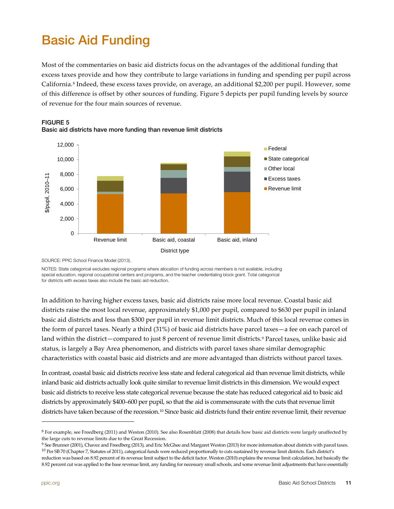# <span id="page-10-0"></span>Basic Aid Funding

Most of the commentaries on basic aid districts focus on the advantages of the additional funding that excess taxes provide and how they contribute to large variations in funding and spending per pupil across California.[8](#page-10-2) Indeed, these excess taxes provide, on average, an additional \$2,200 per pupil. However, some of this difference is offset by other sources of funding. Figure 5 depicts per pupil funding levels by source of revenue for the four main sources of revenue.



#### <span id="page-10-1"></span>FIGURE 5

Basic aid districts have more funding than revenue limit districts

SOURCE[: PPIC School Finance Model \(2013\).](http://www.ppic.org/main/dataSet.asp?i=1229)

NOTES: State categorical excludes regional programs where allocation of funding across members is not available, including special education, regional occupational centers and programs, and the teacher credentialing block grant. Total categorical for districts with excess taxes also include the basic aid reduction.

In addition to having higher excess taxes, basic aid districts raise more local revenue. Coastal basic aid districts raise the most local revenue, approximately \$1,000 per pupil, compared to \$630 per pupil in inland basic aid districts and less than \$300 per pupil in revenue limit districts. Much of this local revenue comes in the form of parcel taxes. Nearly a third (31%) of basic aid districts have parcel taxes—a fee on each parcel of land within the district—compared to just 8 percent of revenue limit districts.<sup>[9](#page-10-3)</sup> Parcel taxes, unlike basic aid status, is largely a Bay Area phenomenon, and districts with parcel taxes share similar demographic characteristics with coastal basic aid districts and are more advantaged than districts without parcel taxes.

In contrast, coastal basic aid districts receive less state and federal categorical aid than revenue limit districts, while inland basic aid districts actually look quite similar to revenue limit districts in this dimension. We would expect basic aid districts to receive less state categorical revenue because the state has reduced categorical aid to basic aid districts by approximately \$400–600 per pupil, so that the aid is commensurate with the cuts that revenue limit districts have taken because of the recession.<sup>[10](#page-10-4)</sup> Since basic aid districts fund their entire revenue limit, their revenue

<span id="page-10-2"></span> $8$  For example, see Freedberg (2011) an[d Weston \(2010\).](http://www.ppic.org/main/publication.asp?i=921) See also Rosenblatt (2008) that details how basic aid districts were largely unaffected by the large cuts to revenue limits due to the Great Recession.

<span id="page-10-4"></span><span id="page-10-3"></span> $9$  See [Brunner \(2001\),](http://www.ppic.org/main/publication.asp?i=127) Chavez and Freedberg (2013), and [Eric McGhee and Margaret Weston \(2013\)](http://www.ppic.org/main/publication.asp?i=1069) for more information about districts with parcel taxes.  $^{10}$  Per SB 70 (Chapter 7, Statutes of 2011), categorical funds were reduced proportionally to cuts sustained by revenue limit districts. Each district's reduction was based on 8.92 percent of its revenue limit subject to the deficit factor. Weston (2010) explains the revenue limit calculation, but basically the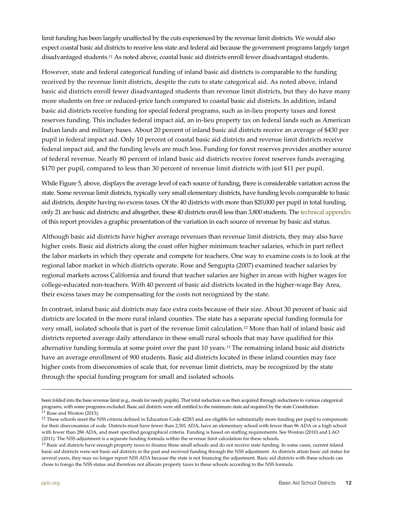limit funding has been largely unaffected by the cuts experienced by the revenue limit districts. We would also expect coastal basic aid districts to receive less state and federal aid because the government programs largely target disadvantaged students.[11](#page-11-0) As noted above, coastal basic aid districts enroll fewer disadvantaged students.

However, state and federal categorical funding of inland basic aid districts is comparable to the funding received by the revenue limit districts, despite the cuts to state categorical aid. As noted above, inland basic aid districts enroll fewer disadvantaged students than revenue limit districts, but they do have many more students on free or reduced-price lunch compared to coastal basic aid districts. In addition, inland basic aid districts receive funding for special federal programs, such as in-lieu property taxes and forest reserves funding. This includes federal impact aid, an in-lieu property tax on federal lands such as American Indian lands and military bases. About 20 percent of inland basic aid districts receive an average of \$430 per pupil in federal impact aid. Only 10 percent of coastal basic aid districts and revenue limit districts receive federal impact aid, and the funding levels are much less. Funding for forest reserves provides another source of federal revenue. Nearly 80 percent of inland basic aid districts receive forest reserves funds averaging \$170 per pupil, compared to less than 30 percent of revenue limit districts with just \$11 per pupil.

While Figure 5, above, displays the average level of each source of funding, there is considerable variation across the state. Some revenue limit districts, typically very small elementary districts, have funding levels comparable to basic aid districts, despite having no excess taxes. Of the 40 districts with more than \$20,000 per pupil in total funding, only 21 are basic aid districts; and altogether, these 40 districts enroll less than 3,800 students. Th[e technical appendix](http://www.ppic.org/content/pubs/other/913MWR_appendix.pdf) of this report provides a graphic presentation of the variation in each source of revenue by basic aid status.

Although basic aid districts have higher average revenues than revenue limit districts, they may also have higher costs. Basic aid districts along the coast offer higher minimum teacher salaries, which in part reflect the labor markets in which they operate and compete for teachers. One way to examine costs is to look at the regional labor market in which districts operate. [Rose and Sengupta \(2007\)](http://www.ppic.org/main/publication.asp?i=740) examined teacher salaries by regional markets across California and found that teacher salaries are higher in areas with higher wages for college-educated non-teachers. With 40 percent of basic aid districts located in the higher-wage Bay Area, their excess taxes may be compensating for the costs not recognized by the state.

In contrast, inland basic aid districts may face extra costs because of their size. About 30 percent of basic aid districts are located in the more rural inland counties. The state has a separate special funding formula for very small, isolated schools that is part of the revenue limit calculation.[12](#page-11-1) More than half of inland basic aid districts reported average daily attendance in these small rural schools that may have qualified for this alternative funding formula at some point over the past 10 years.[13](#page-11-2) The remaining inland basic aid districts have an average enrollment of 900 students. Basic aid districts located in these inland counties may face higher costs from diseconomies of scale that, for revenue limit districts, may be recognized by the state through the special funding program for small and isolated schools.

1

been folded into the base revenue limit (e.g., meals for needy pupils). That total reduction was then acquired through reductions to various categorical programs, with some programs excluded. Basic aid districts were still entitled to the minimum state aid required by the state Constitution.  $11$  [Rose and Weston \(2013\).](http://www.ppic.org/main/publication.asp?i=1047)

<span id="page-11-1"></span><span id="page-11-0"></span><sup>&</sup>lt;sup>12</sup> These schools meet the NSS criteria defined in Education Code 42283 and are eligible for substantially more funding per pupil to compensate for their diseconomies of scale. Districts must have fewer than 2,501 ADA, have an elementary school with fewer than 96 ADA or a high school with fewer than 286 ADA, and meet specified geographical criteria. Funding is based on staffing requirements. [See Weston \(2010\)](http://www.ppic.org/main/publication.asp?i=921) and LAO (2011). The NSS adjustment is a separate funding formula within the revenue limit calculation for these schools.

<span id="page-11-2"></span><sup>&</sup>lt;sup>13</sup> Basic aid districts have enough property taxes to finance these small schools and do not receive state funding. In some cases, current inland basic aid districts were not basic aid districts in the past and received funding through the NSS adjustment. As districts attain basic aid status for several years, they may no longer report NSS ADA because the state is not financing the adjustment. Basic aid districts with these schools can chose to forego the NSS status and therefore not allocate property taxes to these schools according to the NSS formula.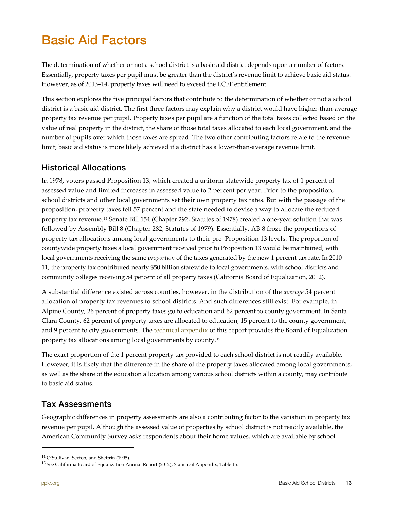# <span id="page-12-0"></span>Basic Aid Factors

The determination of whether or not a school district is a basic aid district depends upon a number of factors. Essentially, property taxes per pupil must be greater than the district's revenue limit to achieve basic aid status. However, as of 2013–14, property taxes will need to exceed the LCFF entitlement.

This section explores the five principal factors that contribute to the determination of whether or not a school district is a basic aid district. The first three factors may explain why a district would have higher-than-average property tax revenue per pupil. Property taxes per pupil are a function of the total taxes collected based on the value of real property in the district, the share of those total taxes allocated to each local government, and the number of pupils over which those taxes are spread. The two other contributing factors relate to the revenue limit; basic aid status is more likely achieved if a district has a lower-than-average revenue limit.

### <span id="page-12-1"></span>Historical Allocations

In 1978, voters passed Proposition 13, which created a uniform statewide property tax of 1 percent of assessed value and limited increases in assessed value to 2 percent per year. Prior to the proposition, school districts and other local governments set their own property tax rates. But with the passage of the proposition, property taxes fell 57 percent and the state needed to devise a way to allocate the reduced property tax revenue.[14](#page-12-3) Senate Bill 154 (Chapter 292, Statutes of 1978) created a one-year solution that was followed by Assembly Bill 8 (Chapter 282, Statutes of 1979). Essentially, AB 8 froze the proportions of property tax allocations among local governments to their pre–Proposition 13 levels. The proportion of countywide property taxes a local government received prior to Proposition 13 would be maintained, with local governments receiving the same *proportion* of the taxes generated by the new 1 percent tax rate. In 2010– 11, the property tax contributed nearly \$50 billion statewide to local governments, with school districts and community colleges receiving 54 percent of all property taxes (California Board of Equalization, 2012).

A substantial difference existed across counties, however, in the distribution of the *average* 54 percent allocation of property tax revenues to school districts. And such differences still exist. For example, in Alpine County, 26 percent of property taxes go to education and 62 percent to county government. In Santa Clara County, 62 percent of property taxes are allocated to education, 15 percent to the county government, and 9 percent to city governments. The [technical appendix](http://www.ppic.org/content/pubs/other/913MWR_appendix.pdf) of this report provides the Board of Equalization property tax allocations among local governments by county.[15](#page-12-4)

The exact proportion of the 1 percent property tax provided to each school district is not readily available. However, it is likely that the difference in the share of the property taxes allocated among local governments, as well as the share of the education allocation among various school districts within a county, may contribute to basic aid status.

### <span id="page-12-2"></span>Tax Assessments

Geographic differences in property assessments are also a contributing factor to the variation in property tax revenue per pupil. Although the assessed value of properties by school district is not readily available, the American Community Survey asks respondents about their home values, which are available by school

<span id="page-12-3"></span><sup>&</sup>lt;sup>14</sup> O'Sullivan, Sexton, and Sheffrin (1995).

<span id="page-12-4"></span><sup>&</sup>lt;sup>15</sup> See California Board of Equalization Annual Report (2012), Statistical Appendix, Table 15.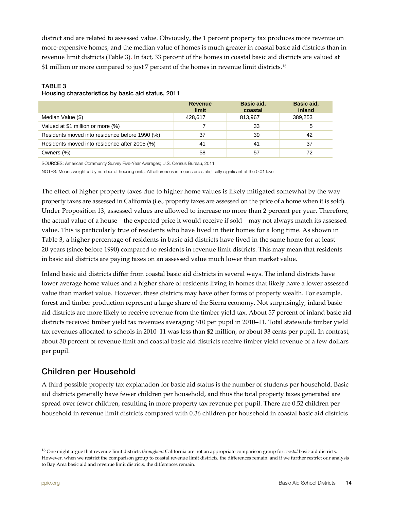district and are related to assessed value. Obviously, the 1 percent property tax produces more revenue on more-expensive homes, and the median value of homes is much greater in coastal basic aid districts than in revenue limit districts (Table 3). In fact, 33 percent of the homes in coastal basic aid districts are valued at \$1 million or more compared to just 7 percent of the homes in revenue limit districts.<sup>[16](#page-13-2)</sup>

#### <span id="page-13-1"></span>TABLE 3

#### Housing characteristics by basic aid status, 2011

|                                                | Revenue<br>limit | Basic aid,<br>coastal | Basic aid,<br>inland |
|------------------------------------------------|------------------|-----------------------|----------------------|
| Median Value (\$)                              | 428.617          | 813.967               | 389,253              |
| Valued at \$1 million or more (%)              |                  | 33                    |                      |
| Residents moved into residence before 1990 (%) | 37               | 39                    | 42                   |
| Residents moved into residence after 2005 (%)  | 41               | 41                    | 37                   |
| Owners (%)                                     | 58               | 57                    | 72                   |

SOURCES: American Community Survey Five-Year Averages; U.S. Census Bureau, 2011.

NOTES: Means weighted by number of housing units. All differences in means are statistically significant at the 0.01 level.

The effect of higher property taxes due to higher home values is likely mitigated somewhat by the way property taxes are assessed in California (i.e., property taxes are assessed on the price of a home when it is sold). Under Proposition 13, assessed values are allowed to increase no more than 2 percent per year. Therefore, the actual value of a house—the expected price it would receive if sold—may not always match its assessed value. This is particularly true of residents who have lived in their homes for a long time. As shown in Table 3, a higher percentage of residents in basic aid districts have lived in the same home for at least 20 years (since before 1990) compared to residents in revenue limit districts. This may mean that residents in basic aid districts are paying taxes on an assessed value much lower than market value.

Inland basic aid districts differ from coastal basic aid districts in several ways. The inland districts have lower average home values and a higher share of residents living in homes that likely have a lower assessed value than market value. However, these districts may have other forms of property wealth. For example, forest and timber production represent a large share of the Sierra economy. Not surprisingly, inland basic aid districts are more likely to receive revenue from the timber yield tax. About 57 percent of inland basic aid districts received timber yield tax revenues averaging \$10 per pupil in 2010–11. Total statewide timber yield tax revenues allocated to schools in 2010–11 was less than \$2 million, or about 33 cents per pupil. In contrast, about 30 percent of revenue limit and coastal basic aid districts receive timber yield revenue of a few dollars per pupil.

### <span id="page-13-0"></span>Children per Household

A third possible property tax explanation for basic aid status is the number of students per household. Basic aid districts generally have fewer children per household, and thus the total property taxes generated are spread over fewer children, resulting in more property tax revenue per pupil. There are 0.52 children per household in revenue limit districts compared with 0.36 children per household in coastal basic aid districts

<span id="page-13-2"></span><sup>16</sup> One might argue that revenue limit districts *throughout* California are not an appropriate comparison group for *coastal* basic aid districts. However, when we restrict the comparison group to coastal revenue limit districts, the differences remain; and if we further restrict our analysis to Bay Area basic aid and revenue limit districts, the differences remain.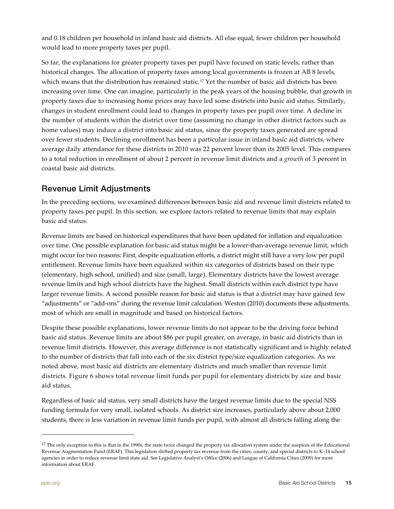and 0.18 children per household in inland basic aid districts. All else equal, fewer children per household would lead to more property taxes per pupil.

So far, the explanations for greater property taxes per pupil have focused on static levels, rather than historical changes. The allocation of property taxes among local governments is frozen at AB 8 levels, which means that the distribution has remained static.<sup>[17](#page-14-1)</sup> Yet the number of basic aid districts has been increasing over time. One can imagine, particularly in the peak years of the housing bubble, that growth in property taxes due to increasing home prices may have led some districts into basic aid status. Similarly, changes in student enrollment could lead to changes in property taxes per pupil over time. A decline in the number of students within the district over time (assuming no change in other district factors such as home values) may induce a district into basic aid status, since the property taxes generated are spread over fewer students. Declining enrollment has been a particular issue in inland basic aid districts, where average daily attendance for these districts in 2010 was 22 percent lower than its 2005 level. This compares to a total reduction in enrollment of about 2 percent in revenue limit districts and a *growth* of 3 percent in coastal basic aid districts.

### <span id="page-14-0"></span>Revenue Limit Adjustments

In the preceding sections, we examined differences between basic aid and revenue limit districts related to property taxes per pupil. In this section, we explore factors related to revenue limits that may explain basic aid status.

Revenue limits are based on historical expenditures that have been updated for inflation and equalization over time. One possible explanation for basic aid status might be a lower-than-average revenue limit, which might occur for two reasons: First, despite equalization efforts, a district might still have a very low per pupil entitlement. Revenue limits have been equalized within six categories of districts based on their type (elementary, high school, unified) and size (small, large). Elementary districts have the lowest average revenue limits and high school districts have the highest. Small districts within each district type have larger revenue limits. A second possible reason for basic aid status is that a district may have gained few "adjustments" or "add-ons" during the revenue limit calculation[. Weston \(2010\)](http://www.ppic.org/main/publication.asp?i=921) documents these adjustments, most of which are small in magnitude and based on historical factors.

Despite these possible explanations, lower revenue limits do not appear to be the driving force behind basic aid status. Revenue limits are about \$86 per pupil greater, on average, in basic aid districts than in revenue limit districts. However, this average difference is not statistically significant and is highly related to the number of districts that fall into each of the six district type/size equalization categories. As we noted above, most basic aid districts are elementary districts and much smaller than revenue limit districts. Figure 6 shows total revenue limit funds per pupil for elementary districts by size and basic aid status.

Regardless of basic aid status, very small districts have the largest revenue limits due to the special NSS funding formula for very small, isolated schools. As district size increases, particularly above about 2,000 students, there is less variation in revenue limit funds per pupil, with almost all districts falling along the

<span id="page-14-1"></span><sup>&</sup>lt;sup>17</sup> The only exception to this is that in the 1990s, the state twice changed the property tax allocation system under the auspices of the Educational Revenue Augmentation Fund (ERAF). This legislation shifted property tax revenue from the cities, county, and special districts to K–14 school agencies in order to reduce revenue limit state aid. See Legislative Analyst's Office (2006) and League of California Cities (2009) for more information about ERAF.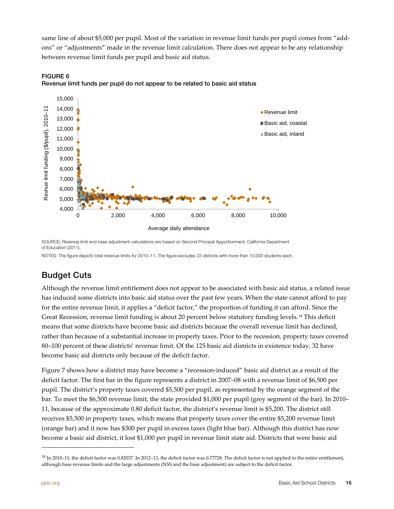same line of about \$5,000 per pupil. Most of the variation in revenue limit funds per pupil comes from "addons" or "adjustments" made in the revenue limit calculation. There does not appear to be any relationship between revenue limit funds per pupil and basic aid status.



<span id="page-15-1"></span>

SOURCE: Revenue limit and base adjustment calculations are based on Second Principal Apportionment, California Department of Education (2011).

NOTES: The figure depicts total revenue limits for 2010–11. The figure excludes 23 districts with more than 10,000 students each.

### <span id="page-15-0"></span>Budget Cuts

Although the revenue limit entitlement does not appear to be associated with basic aid status, a related issue has induced some districts into basic aid status over the past few years. When the state cannot afford to pay for the entire revenue limit, it applies a "deficit factor," the proportion of funding it can afford. Since the Great Recession, revenue limit funding is about 20 percent below statutory funding levels.<sup>[18](#page-15-2)</sup> This deficit means that some districts have become basic aid districts because the overall revenue limit has declined, rather than because of a substantial increase in property taxes. Prior to the recession, property taxes covered 80–100 percent of these districts' revenue limit. Of the 125 basic aid districts in existence today, 32 have become basic aid districts only because of the deficit factor.

Figure 7 shows how a district may have become a "recession-induced" basic aid district as a result of the deficit factor. The first bar in the figure represents a district in 2007–08 with a revenue limit of \$6,500 per pupil. The district's property taxes covered \$5,500 per pupil, as represented by the orange segment of the bar. To meet the \$6,500 revenue limit, the state provided \$1,000 per pupil (grey segment of the bar). In 2010– 11, because of the approximate 0.80 deficit factor, the district's revenue limit is \$5,200. The district still receives \$5,500 in property taxes, which means that property taxes cover the entire \$5,200 revenue limit (orange bar) and it now has \$300 per pupil in excess taxes (light blue bar). Although this district has now become a basic aid district, it lost \$1,000 per pupil in revenue limit state aid. Districts that were basic aid

<span id="page-15-2"></span> $^{18}$  In 2010–11, the deficit factor was 0.82037. In 2012–13, the deficit factor was 0.77728. The deficit factor is not applied to the entire entitlement, although base revenue limits and the large adjustments (NSS and the base adjustment) are subject to the deficit factor.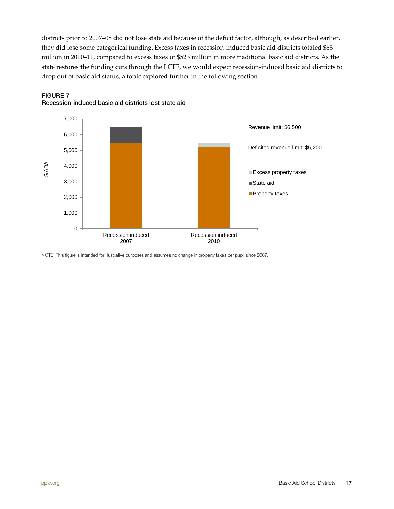districts prior to 2007–08 did not lose state aid because of the deficit factor, although, as described earlier, they did lose some categorical funding. Excess taxes in recession-induced basic aid districts totaled \$63 million in 2010–11, compared to excess taxes of \$523 million in more traditional basic aid districts. As the state restores the funding cuts through the LCFF, we would expect recession-induced basic aid districts to drop out of basic aid status, a topic explored further in the following section.



### <span id="page-16-0"></span>FIGURE 7 Recession-induced basic aid districts lost state aid

NOTE: This figure is intended for illustrative purposes and assumes no change in property taxes per pupil since 2007.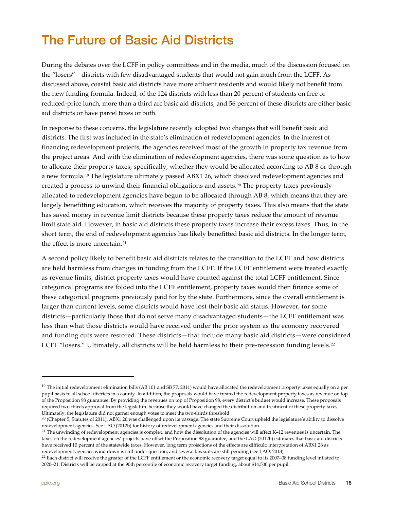# <span id="page-17-0"></span>The Future of Basic Aid Districts

During the debates over the LCFF in policy committees and in the media, much of the discussion focused on the "losers"—districts with few disadvantaged students that would not gain much from the LCFF. As discussed above, coastal basic aid districts have more affluent residents and would likely not benefit from the new funding formula. Indeed, of the 124 districts with less than 20 percent of students on free or reduced-price lunch, more than a third are basic aid districts, and 56 percent of these districts are either basic aid districts or have parcel taxes or both.

In response to these concerns, the legislature recently adopted two changes that will benefit basic aid districts. The first was included in the state's elimination of redevelopment agencies. In the interest of financing redevelopment projects, the agencies received most of the growth in property tax revenue from the project areas. And with the elimination of redevelopment agencies, there was some question as to how to allocate their property taxes; specifically, whether they would be allocated according to AB 8 or through a new formula.<sup>[19](#page-17-1)</sup> The legislature ultimately passed ABX1 26, which dissolved redevelopment agencies and created a process to unwind their financial obligations and assets.[20](#page-17-2) The property taxes previously allocated to redevelopment agencies have begun to be allocated through AB 8, which means that they are largely benefitting education, which receives the majority of property taxes. This also means that the state has saved money in revenue limit districts because these property taxes reduce the amount of revenue limit state aid. However, in basic aid districts these property taxes increase their excess taxes. Thus, in the short term, the end of redevelopment agencies has likely benefitted basic aid districts. In the longer term, the effect is more uncertain.<sup>[21](#page-17-3)</sup>

A second policy likely to benefit basic aid districts relates to the transition to the LCFF and how districts are held harmless from changes in funding from the LCFF. If the LCFF entitlement were treated exactly as revenue limits, district property taxes would have counted against the total LCFF entitlement. Since categorical programs are folded into the LCFF entitlement, property taxes would then finance some of these categorical programs previously paid for by the state. Furthermore, since the overall entitlement is larger than current levels, some districts would have lost their basic aid status. However, for some districts—particularly those that do not serve many disadvantaged students—the LCFF entitlement was less than what those districts would have received under the prior system as the economy recovered and funding cuts were restored. These districts—that include many basic aid districts—were considered LCFF "losers." Ultimately, all districts will be held harmless to their pre-recession funding levels.<sup>[22](#page-17-4)</sup>

<span id="page-17-1"></span><sup>&</sup>lt;sup>19</sup> The initial redevelopment elimination bills (AB 101 and SB 77, 2011) would have allocated the redevelopment property taxes equally on a per pupil basis to all school districts in a county. In addition, the proposals would have treated the redevelopment property taxes as revenue on top of the Proposition 98 guarantee. By providing the revenues on top of Proposition 98, every district's budget would increase. These proposals required two-thirds approval from the legislature because they would have changed the distribution and treatment of these property taxes. Ultimately, the legislature did not garner enough votes to meet the two-thirds threshold

<span id="page-17-2"></span> $^{20}$  (Chapter 5, Statutes of 2011). ABX1 26 was challenged upon its passage. The state Supreme Court upheld the legislature's ability to dissolve redevelopment agencies. See LAO (2012b) for history of redevelopment agencies and their dissolution.<br><sup>21</sup> The unwinding of redevelopment agencies is complex, and how the dissolution of the agencies will affect K–12 revenue

<span id="page-17-3"></span>taxes on the redevelopment agencies' projects have offset the Proposition 98 guarantee, and the LAO (2012b) estimates that basic aid districts have received 10 percent of the statewide taxes. However, long term projections of the effects are difficult; interpretation of ABX1 26 as redevelopment agencies wind down is still under question, and several lawsuits are still pending (see LAO, 2013).

<span id="page-17-4"></span><sup>&</sup>lt;sup>22</sup> Each district will receive the greater of the LCFF entitlement or the economic recovery target equal to its 2007–08 funding level inflated to 2020–21. Districts will be capped at the 90th percentile of economic recovery target funding, about \$14,500 per pupil.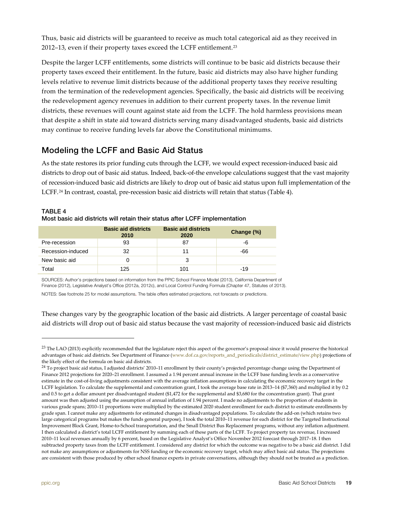Thus, basic aid districts will be guaranteed to receive as much total categorical aid as they received in 2012–13, even if their property taxes exceed the LCFF entitlement.[23](#page-18-2)

Despite the larger LCFF entitlements, some districts will continue to be basic aid districts because their property taxes exceed their entitlement. In the future, basic aid districts may also have higher funding levels relative to revenue limit districts because of the additional property taxes they receive resulting from the termination of the redevelopment agencies. Specifically, the basic aid districts will be receiving the redevelopment agency revenues in addition to their current property taxes. In the revenue limit districts, these revenues will count against state aid from the LCFF. The hold harmless provisions mean that despite a shift in state aid toward districts serving many disadvantaged students, basic aid districts may continue to receive funding levels far above the Constitutional minimums.

### <span id="page-18-0"></span>Modeling the LCFF and Basic Aid Status

As the state restores its prior funding cuts through the LCFF, we would expect recession-induced basic aid districts to drop out of basic aid status. Indeed, back-of-the envelope calculations suggest that the vast majority of recession-induced basic aid districts are likely to drop out of basic aid status upon full implementation of the LCFF.[24](#page-18-3) In contrast, coastal, pre-recession basic aid districts will retain that status (Table 4).

|                   | <b>Basic aid districts</b><br>2010 | <b>Basic aid districts</b><br>2020 | Change (%) |
|-------------------|------------------------------------|------------------------------------|------------|
| Pre-recession     | 93                                 | 87                                 | -6         |
| Recession-induced | 32                                 | 11                                 | -66        |
| New basic aid     |                                    | 3                                  |            |
| Total             | 125                                | 101                                | $-19$      |

#### <span id="page-18-1"></span>TABLE 4 Most basic aid districts will retain their status after LCFF implementation

SOURCES: Author's projections based on information from the [PPIC School Finance Model \(2013\)](http://www.ppic.org/main/dataSet.asp?i=1229), California Department of Finance (2012), Legislative Analyst's Office (2012a, 2012c), and Local Control Funding Formula (Chapter 47, Statutes of 2013).

NOTES: See footnote 25 for model assumptions. The table offers estimated projections, not forecasts or predictions.

These changes vary by the geographic location of the basic aid districts. A larger percentage of coastal basic aid districts will drop out of basic aid status because the vast majority of recession-induced basic aid districts

<span id="page-18-2"></span><sup>&</sup>lt;sup>23</sup> The LAO (2013) explicitly recommended that the legislature reject this aspect of the governor's proposal since it would preserve the historical advantages of basic aid districts. See Department of Finance [\(www.dof.ca.gov/reports\\_and\\_periodicals/district\\_estimate/view.php\)](http://www.dof.ca.gov/reports_and_periodicals/district_estimate/view.php) projections of the likely effect of the formula on basic aid districts.

<span id="page-18-3"></span><sup>&</sup>lt;sup>24</sup> To project basic aid status, I adjusted districts' 2010–11 enrollment by their county's projected percentage change using the Department of Finance 2012 projections for 2020–21 enrollment. I assumed a 1.94 percent annual increase in the LCFF base funding levels as a conservative estimate in the cost-of-living adjustments consistent with the average inflation assumptions in calculating the economic recovery target in the LCFF legislation. To calculate the supplemental and concentration grant, I took the average base rate in 2013–14 (\$7,360) and multiplied it by 0.2 and 0.5 to get a dollar amount per disadvantaged student (\$1,472 for the supplemental and \$3,680 for the concentration grant). That grant amount was then adjusted using the assumption of annual inflation of 1.94 percent. I made no adjustments to the proportion of students in various grade spans; 2010–11 proportions were multiplied by the estimated 2020 student enrollment for each district to estimate enrollments by grade span. I cannot make any adjustments for estimated changes in disadvantaged populations. To calculate the add-on (which retains two large categorical programs but makes the funds general purpose), I took the total 2010–11 revenue for each district for the Targeted Instructional Improvement Block Grant, Home-to-School transportation, and the Small District Bus Replacement programs, without any inflation adjustment. I then calculated a district's total LCFF entitlement by summing each of these parts of the LCFF. To project property tax revenue, I increased 2010–11 local revenues annually by 6 percent, based on the Legislative Analyst's Office November 2012 forecast through 2017–18. I then subtracted property taxes from the LCFF entitlement. I considered any district for which the outcome was negative to be a basic aid district. I did not make any assumptions or adjustments for NSS funding or the economic recovery target, which may affect basic aid status. The projections are consistent with those produced by other school finance experts in private conversations, although they should not be treated as a prediction.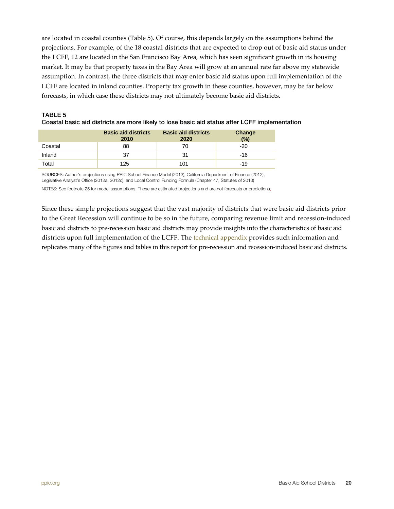are located in coastal counties (Table 5). Of course, this depends largely on the assumptions behind the projections. For example, of the 18 coastal districts that are expected to drop out of basic aid status under the LCFF, 12 are located in the San Francisco Bay Area, which has seen significant growth in its housing market. It may be that property taxes in the Bay Area will grow at an annual rate far above my statewide assumption. In contrast, the three districts that may enter basic aid status upon full implementation of the LCFF are located in inland counties. Property tax growth in these counties, however, may be far below forecasts, in which case these districts may not ultimately become basic aid districts.

|         | <b>Basic aid districts</b><br>2010 | <b>Basic aid districts</b><br>2020 | Change<br>(%) |
|---------|------------------------------------|------------------------------------|---------------|
| Coastal | 88                                 | 70                                 | $-20$         |
| Inland  | 37                                 | 31                                 | -16           |
| Total   | 125                                | 101                                | $-19$         |

#### <span id="page-19-0"></span>TABLE 5 Coastal basic aid districts are more likely to lose basic aid status after LCFF implementation

SOURCES: Author's projections using [PPIC School Finance Model \(2013\),](http://www.ppic.org/main/dataSet.asp?i=1229) California Department of Finance (2012), Legislative Analyst's Office (2012a, 2012c), and Local Control Funding Formula (Chapter 47, Statutes of 2013) NOTES: See footnote 25 for model assumptions. These are estimated projections and are not forecasts or predictions.

Since these simple projections suggest that the vast majority of districts that were basic aid districts prior to the Great Recession will continue to be so in the future, comparing revenue limit and recession-induced basic aid districts to pre-recession basic aid districts may provide insights into the characteristics of basic aid districts upon full implementation of the LCFF. Th[e technical appendix](http://www.ppic.org/content/pubs/other/913MWR_appendix.pdf) provides such information and replicates many of the figures and tables in this report for pre-recession and recession-induced basic aid districts.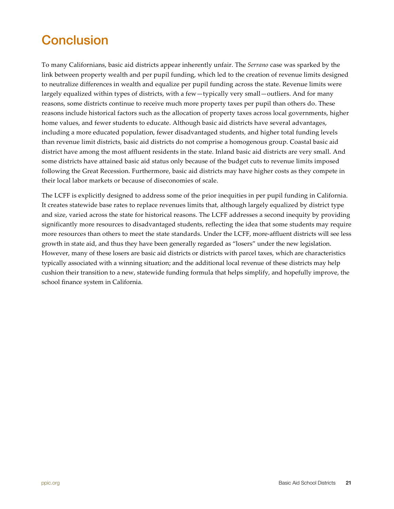# <span id="page-20-0"></span>**Conclusion**

To many Californians, basic aid districts appear inherently unfair. The *Serrano* case was sparked by the link between property wealth and per pupil funding, which led to the creation of revenue limits designed to neutralize differences in wealth and equalize per pupil funding across the state. Revenue limits were largely equalized within types of districts, with a few—typically very small—outliers. And for many reasons, some districts continue to receive much more property taxes per pupil than others do. These reasons include historical factors such as the allocation of property taxes across local governments, higher home values, and fewer students to educate. Although basic aid districts have several advantages, including a more educated population, fewer disadvantaged students, and higher total funding levels than revenue limit districts, basic aid districts do not comprise a homogenous group. Coastal basic aid district have among the most affluent residents in the state. Inland basic aid districts are very small. And some districts have attained basic aid status only because of the budget cuts to revenue limits imposed following the Great Recession. Furthermore, basic aid districts may have higher costs as they compete in their local labor markets or because of diseconomies of scale.

The LCFF is explicitly designed to address some of the prior inequities in per pupil funding in California. It creates statewide base rates to replace revenues limits that, although largely equalized by district type and size, varied across the state for historical reasons. The LCFF addresses a second inequity by providing significantly more resources to disadvantaged students, reflecting the idea that some students may require more resources than others to meet the state standards. Under the LCFF, more-affluent districts will see less growth in state aid, and thus they have been generally regarded as "losers" under the new legislation. However, many of these losers are basic aid districts or districts with parcel taxes, which are characteristics typically associated with a winning situation; and the additional local revenue of these districts may help cushion their transition to a new, statewide funding formula that helps simplify, and hopefully improve, the school finance system in California.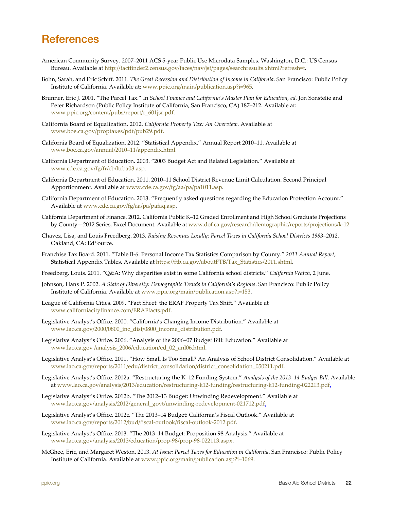## <span id="page-21-0"></span>**References**

- American Community Survey. 2007–2011 ACS 5-year Public Use Microdata Samples. Washington, D.C.: US Census Bureau. Available at [http://factfinder2.census.gov/faces/nav/jsf/pages/searchresults.xhtml?refresh=t.](http://factfinder2.census.gov/faces/nav/jsf/pages/searchresults.xhtml?refresh=t)
- Bohn, Sarah, and Eric Schiff. 2011. *The Great Recession and Distribution of Income in California*. San Francisco: Public Policy Institute of California. Available at[: www.ppic.org/main/publication.asp?i=965.](http://www.ppic.org/main/publication.asp?i=965)
- Brunner, Eric J. 2001. "The Parcel Tax." In *School Finance and California's Master Plan for Education, ed.* Jon Sonstelie and Peter Richardson (Public Policy Institute of California, San Francisco, CA) 187–212. Available at: [www.ppic.org/content/pubs/report/r\\_601jsr.pdf.](http://www.ppic.org/content/pubs/report/r_601jsr.pdf)
- California Board of Equalization. 2012. *California Property Tax: An Overview*. Available at [www.boe.ca.gov/proptaxes/pdf/pub29.pdf.](http://www.boe.ca.gov/proptaxes/pdf/pub29.pdf)
- California Board of Equalization. 2012. "Statistical Appendix." Annual Report 2010–11. Available at [www.boe.ca.gov/annual/2010–11/appendix.html.](http://www.boe.ca.gov/annual/2010–11/appendix.html)
- California Department of Education. 2003. "2003 Budget Act and Related Legislation." Available at [www.cde.ca.gov/fg/fr/eb/ltrba03.asp.](http://www.cde.ca.gov/fg/fr/eb/ltrba03.asp)
- California Department of Education. 2011. 2010–11 School District Revenue Limit Calculation. Second Principal Apportionment. Available a[t www.cde.ca.gov/fg/aa/pa/pa1011.asp.](http://www.cde.ca.gov/fg/aa/pa/pa1011.asp)
- California Department of Education. 2013. "Frequently asked questions regarding the Education Protection Account." Available at [www.cde.ca.gov/fg/aa/pa/pafaq.asp.](http://www.cde.ca.gov/fg/aa/pa/pafaq.asp)
- California Department of Finance. 2012. California Public K–12 Graded Enrollment and High School Graduate Projections by County—2012 Series, Excel Document. Available at [www.dof.ca.gov/research/demographic/reports/projections/k-12.](http://www.dof.ca.gov/research/demographic/reports/projections/k-12)
- Chavez, Lisa, and Louis Freedberg. 2013. *Raising Revenues Locally: Parcel Taxes in California School Districts 1983–2012.* Oakland, CA: EdSource.
- Franchise Tax Board. 2011. "Table B-6: Personal Income Tax Statistics Comparison by County." *2011 Annual Report*, Statistical Appendix Tables. Available at [https://ftb.ca.gov/aboutFTB/Tax\\_Statistics/2011.shtml.](https://ftb.ca.gov/aboutFTB/Tax_Statistics/2011.shtml)
- Freedberg, Louis. 2011. "Q&A: Why disparities exist in some California school districts." *California Watch*, 2 June.
- Johnson, Hans P. 2002. *A State of Diversity: Demographic Trends in California's Regions*. San Francisco: Public Policy Institute of California. Available a[t www.ppic.org/main/publication.asp?i=153.](http://www.ppic.org/main/publication.asp?i=153)
- League of California Cities. 2009. "Fact Sheet: the ERAF Property Tax Shift." Available at [www.californiacityfinance.com/ERAFfacts.pdf.](http://www.californiacityfinance.com/ERAFfacts.pdf)
- Legislative Analyst's Office. 2000. "California's Changing Income Distribution." Available at [www.lao.ca.gov/2000/0800\\_inc\\_dist/0800\\_income\\_distribution.pdf.](http://www.lao.ca.gov/2000/0800_inc_dist/0800_income_distribution.pdf)
- Legislative Analyst's Office. 2006. "Analysis of the 2006–07 Budget Bill: Education." Available at www.lao.ca.gov /analysis\_2006/education/ed\_02\_anl06.html.
- Legislative Analyst's Office. 2011. "How Small Is Too Small? An Analysis of School District Consolidation." Available at [www.lao.ca.gov/reports/2011/edu/district\\_consolidation/district\\_consolidation\\_050211.pdf.](http://www.lao.ca.gov/reports/2011/edu/district_consolidation/district_consolidation_050211.pdf)
- Legislative Analyst's Office. 2012a. "Restructuring the K–12 Funding System." *Analysis of the 2013–14 Budget Bill*. Available at [www.lao.ca.gov/analysis/2013/education/restructuring-k12-funding/restructuring-k12-funding-022213.pdf.](http://www.lao.ca.gov/analysis/2013/education/restructuring-k12-funding/restructuring-k12-funding-022213.pdf)
- Legislative Analyst's Office. 2012b. "The 2012–13 Budget: Unwinding Redevelopment." Available at [www.lao.ca.gov/analysis/2012/general\\_govt/unwinding-redevelopment-021712.pdf.](http://www.lao.ca.gov/analysis/2012/general_govt/unwinding-redevelopment-021712.pdf)
- Legislative Analyst's Office. 2012c. "The 2013–14 Budget: California's Fiscal Outlook." Available at [www.lao.ca.gov/reports/2012/bud/fiscal-outlook/fiscal-outlook-2012.pdf.](http://www.lao.ca.gov/reports/2012/bud/fiscal-outlook/fiscal-outlook-2012.pdf)
- Legislative Analyst's Office. 2013. "The 2013–14 Budget: Proposition 98 Analysis." Available at [www.lao.ca.gov/analysis/2013/education/prop-98/prop-98-022113.aspx.](http://www.lao.ca.gov/analysis/2013/education/prop-98/prop-98-022113.aspx)
- McGhee, Eric, and Margaret Weston. 2013. *At Issue: Parcel Taxes for Education in California*. San Francisco: Public Policy Institute of California. Available a[t www.ppic.org/main/publication.asp?i=1069.](http://www.ppic.org/main/publication.asp?i=1069)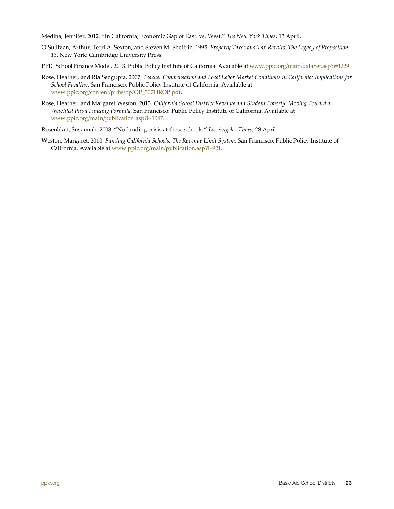Medina, Jennifer. 2012. "In California, Economic Gap of East. vs. West." *The New York Times*, 13 April.

- O'Sullivan, Arthur, Terri A. Sexton, and Steven M. Sheffrin. 1995. *Property Taxes and Tax Revolts: The Legacy of Proposition 13*. New York: Cambridge University Press.
- [PPIC School Finance Model. 2013. Public Policy Institute of California. Available at www.ppic.org/main/dataSet.asp?i=1229.](http://www.ppic.org/main/dataSet.asp?i=1229)
- Rose, Heather, and Ria Sengupta. 2007. *Teacher Compensation and Local Labor Market Conditions in California: Implications for School Funding*. San Francisco: Public Policy Institute of California. Available at [www.ppic.org/content/pubs/op/OP\\_307HROP.pdf.](http://www.ppic.org/content/pubs/op/OP_307HROP.pdf)
- Rose, Heather, and Margaret Weston. 2013. *California School District Revenue and Student Poverty: Moving Toward a Weighted Pupil Funding Formula*. San Francisco: Public Policy Institute of California. Available at [www.ppic.org/main/publication.asp?i=1047.](http://www.ppic.org/main/publication.asp?i=1047)

Rosenblatt, Susannah. 2008. "No funding crisis at these schools." *Los Angeles Times*, 28 April.

Weston, Margaret. 2010. *Funding California Schools: The Revenue Limit System*. San Francisco: Public Policy Institute of California. Available at [www.ppic.org/main/publication.asp?i=921.](http://www.ppic.org/main/publication.asp?i=921)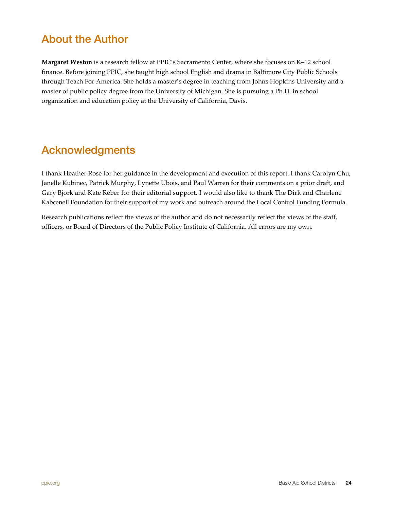## <span id="page-23-0"></span>About the Author

**Margaret Weston** is a research fellow at PPIC's Sacramento Center, where she focuses on K–12 school finance. Before joining PPIC, she taught high school English and drama in Baltimore City Public Schools through Teach For America. She holds a master's degree in teaching from Johns Hopkins University and a master of public policy degree from the University of Michigan. She is pursuing a Ph.D. in school organization and education policy at the University of California, Davis.

## Acknowledgments

I thank Heather Rose for her guidance in the development and execution of this report. I thank Carolyn Chu, Janelle Kubinec, Patrick Murphy, Lynette Ubois, and Paul Warren for their comments on a prior draft, and Gary Bjork and Kate Reber for their editorial support. I would also like to thank The Dirk and Charlene Kabcenell Foundation for their support of my work and outreach around the Local Control Funding Formula.

Research publications reflect the views of the author and do not necessarily reflect the views of the staff, officers, or Board of Directors of the Public Policy Institute of California. All errors are my own.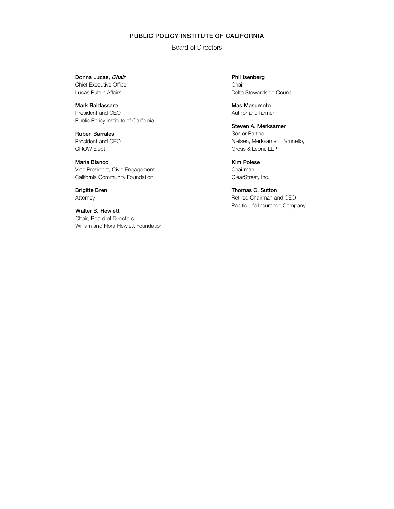#### PUBLIC POLICY INSTITUTE OF CALIFORNIA

Board of Directors

Donna Lucas, Chair Chief Executive Officer Lucas Public Affairs

Mark Baldassare President and CEO Public Policy Institute of California

Ruben Barrales President and CEO GROW Elect

María Blanco Vice President, Civic Engagement California Community Foundation

Brigitte Bren Attorney

Walter B. Hewlett Chair, Board of Directors William and Flora Hewlett Foundation Phil Isenberg Chair Delta Stewardship Council

Mas Masumoto Author and farmer

Steven A. Merksamer Senior Partner Nielsen, Merksamer, Parrinello, Gross & Leoni, LLP

Kim Polese Chairman ClearStreet, Inc.

Thomas C. Sutton Retired Chairman and CEO Pacific Life Insurance Company